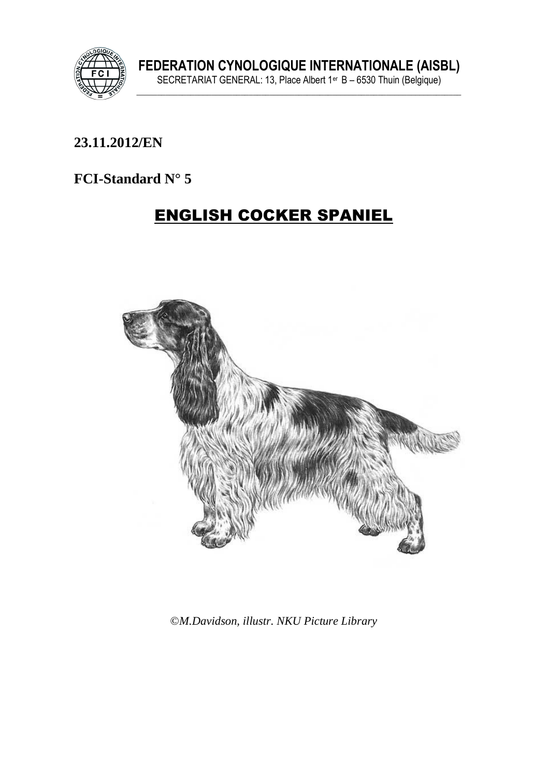

## **\_\_\_\_\_\_\_\_\_\_\_\_\_\_\_\_\_\_\_\_\_\_\_\_\_\_\_\_\_\_\_\_\_\_\_\_\_\_\_\_\_\_\_\_\_\_\_\_\_\_\_\_\_\_\_\_\_\_\_\_\_\_\_ 23.11.2012/EN**

# **FCI-Standard N° 5**

# ENGLISH COCKER SPANIEL



©*M.Davidson, illustr. NKU Picture Library*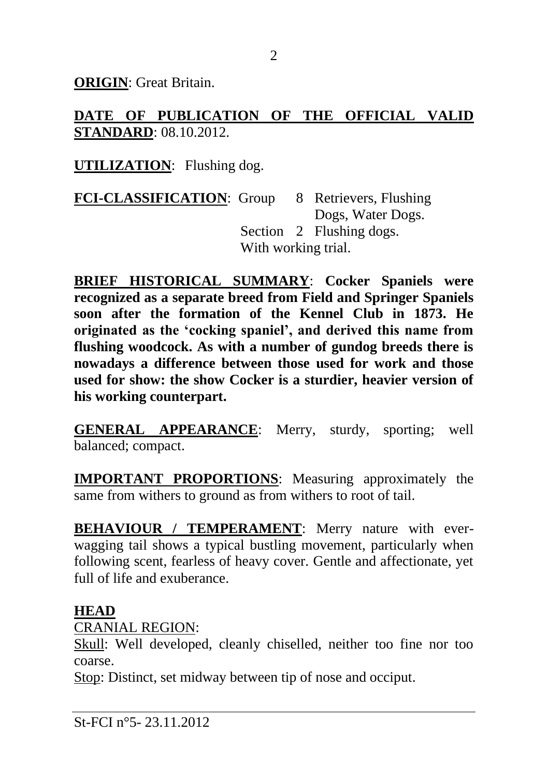**ORIGIN**: Great Britain.

**DATE OF PUBLICATION OF THE OFFICIAL VALID STANDARD**: 08.10.2012.

**UTILIZATION**: Flushing dog.

**FCI-CLASSIFICATION**: Group 8 Retrievers, Flushing Dogs, Water Dogs. Section 2 Flushing dogs. With working trial.

**BRIEF HISTORICAL SUMMARY**: **Cocker Spaniels were recognized as a separate breed from Field and Springer Spaniels soon after the formation of the Kennel Club in 1873. He originated as the 'cocking spaniel', and derived this name from flushing woodcock. As with a number of gundog breeds there is nowadays a difference between those used for work and those used for show: the show Cocker is a sturdier, heavier version of his working counterpart.**

**GENERAL APPEARANCE**: Merry, sturdy, sporting; well balanced; compact.

**IMPORTANT PROPORTIONS**: Measuring approximately the same from withers to ground as from withers to root of tail.

**BEHAVIOUR / TEMPERAMENT**: Merry nature with everwagging tail shows a typical bustling movement, particularly when following scent, fearless of heavy cover. Gentle and affectionate, yet full of life and exuberance.

### **HEAD**

CRANIAL REGION:

Skull: Well developed, cleanly chiselled, neither too fine nor too coarse.

Stop: Distinct, set midway between tip of nose and occiput.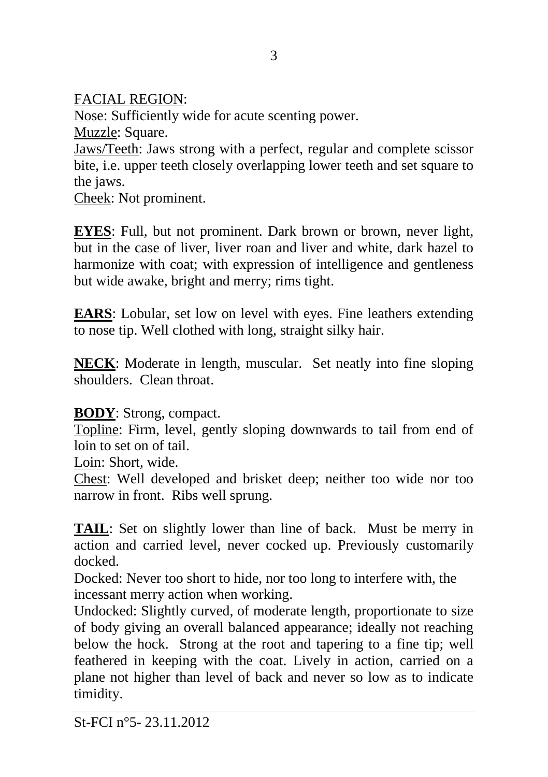FACIAL REGION:

Nose: Sufficiently wide for acute scenting power.

Muzzle: Square.

Jaws/Teeth: Jaws strong with a perfect, regular and complete scissor bite, i.e. upper teeth closely overlapping lower teeth and set square to the jaws.

Cheek: Not prominent.

**EYES**: Full, but not prominent. Dark brown or brown, never light, but in the case of liver, liver roan and liver and white, dark hazel to harmonize with coat; with expression of intelligence and gentleness but wide awake, bright and merry; rims tight.

**EARS**: Lobular, set low on level with eyes. Fine leathers extending to nose tip. Well clothed with long, straight silky hair.

**NECK**: Moderate in length, muscular. Set neatly into fine sloping shoulders. Clean throat.

# **BODY**: Strong, compact.

Topline: Firm, level, gently sloping downwards to tail from end of loin to set on of tail.

Loin: Short, wide.

Chest: Well developed and brisket deep; neither too wide nor too narrow in front. Ribs well sprung.

**TAIL**: Set on slightly lower than line of back. Must be merry in action and carried level, never cocked up. Previously customarily docked.

Docked: Never too short to hide, nor too long to interfere with, the incessant merry action when working.

Undocked: Slightly curved, of moderate length, proportionate to size of body giving an overall balanced appearance; ideally not reaching below the hock. Strong at the root and tapering to a fine tip; well feathered in keeping with the coat. Lively in action, carried on a plane not higher than level of back and never so low as to indicate timidity.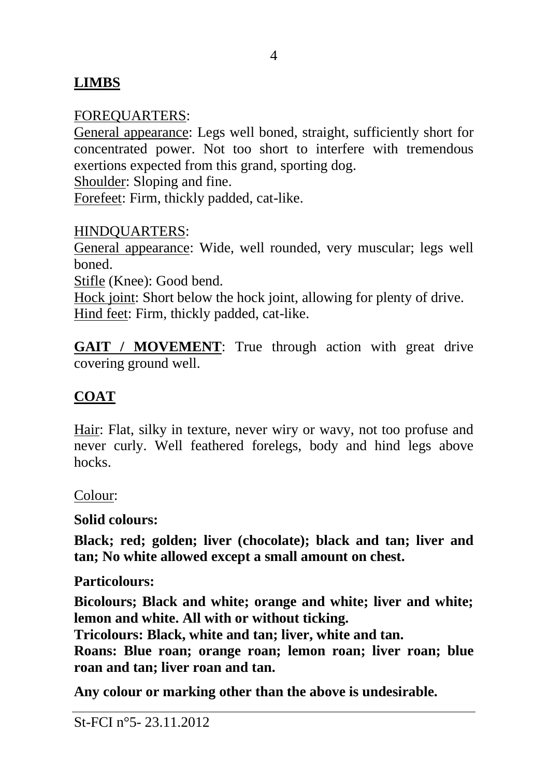# **LIMBS**

### FOREQUARTERS:

General appearance: Legs well boned, straight, sufficiently short for concentrated power. Not too short to interfere with tremendous exertions expected from this grand, sporting dog.

Shoulder: Sloping and fine.

Forefeet: Firm, thickly padded, cat-like.

#### HINDQUARTERS:

General appearance: Wide, well rounded, very muscular; legs well **boned** 

Stifle (Knee): Good bend.

Hock joint: Short below the hock joint, allowing for plenty of drive. Hind feet: Firm, thickly padded, cat-like.

GAIT / MOVEMENT: True through action with great drive covering ground well.

## **COAT**

Hair: Flat, silky in texture, never wiry or wavy, not too profuse and never curly. Well feathered forelegs, body and hind legs above hocks.

Colour:

**Solid colours:**

**Black; red; golden; liver (chocolate); black and tan; liver and tan; No white allowed except a small amount on chest.**

**Particolours:**

**Bicolours; Black and white; orange and white; liver and white; lemon and white. All with or without ticking.**

**Tricolours: Black, white and tan; liver, white and tan.**

**Roans: Blue roan; orange roan; lemon roan; liver roan; blue roan and tan; liver roan and tan.**

**Any colour or marking other than the above is undesirable.**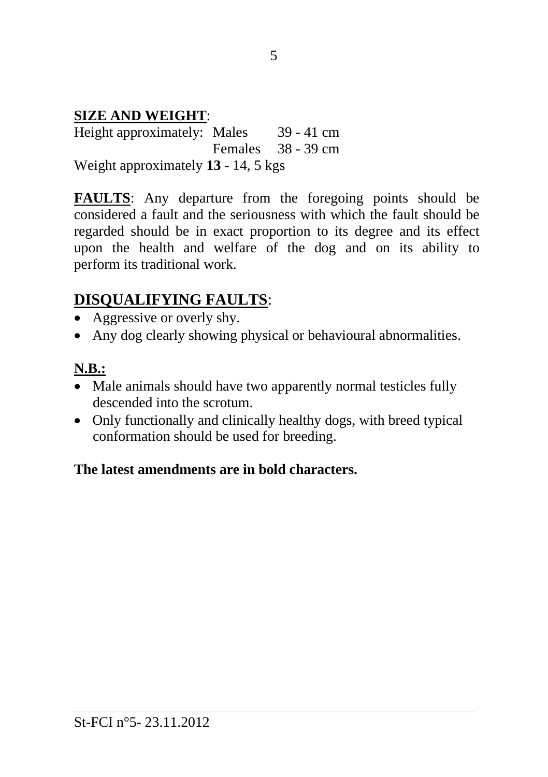### **SIZE AND WEIGHT**:

Height approximately: Males 39 - 41 cm Females 38 - 39 cm Weight approximately **13** - 14, 5 kgs

**FAULTS**: Any departure from the foregoing points should be considered a fault and the seriousness with which the fault should be regarded should be in exact proportion to its degree and its effect upon the health and welfare of the dog and on its ability to perform its traditional work.

# **DISQUALIFYING FAULTS**:

- Aggressive or overly shy.
- Any dog clearly showing physical or behavioural abnormalities.

#### **N.B.:**

- Male animals should have two apparently normal testicles fully descended into the scrotum.
- Only functionally and clinically healthy dogs, with breed typical conformation should be used for breeding.

### **The latest amendments are in bold characters.**